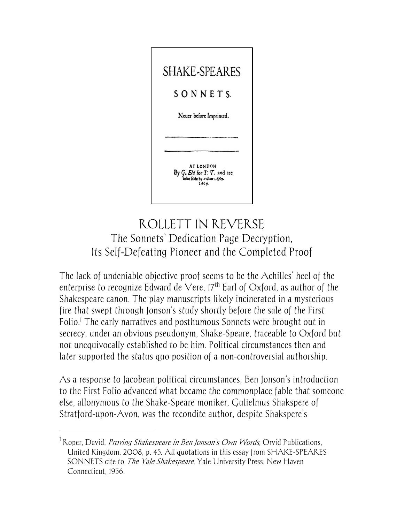

# ROLLETT IN REVERSE The Sonnets' Dedication Page Decryption, Its Self-Defeating Pioneer and the Completed Proof

The lack of undeniable objective proof seems to be the Achilles' heel of the enterprise to recognize Edward de Vere,  $17<sup>th</sup>$  Earl of Oxford, as author of the Shakespeare canon. The play manuscripts likely incinerated in a mysterious fire that swept through Jonson's study shortly before the sale of the First Folio.<sup>1</sup> The early narratives and posthumous Sonnets were brought out in secrecy, under an obvious pseudonym, Shake-Speare, traceable to Oxford but not unequivocally established to be him. Political circumstances then and later supported the status quo position of a non-controversial authorship.

As a response to Jacobean political circumstances, Ben Jonson's introduction to the First Folio advanced what became the commonplace fable that someone else, allonymous to the Shake-Speare moniker, Gulielmus Shakspere of Stratford-upon-Avon, was the recondite author, despite Shakspere's

<sup>&</sup>lt;sup>1</sup> Roper, David, *Proving Shakespeare in Ben Jonson's Own Words*, Orvid Publications, United Kingdom, 2008, p. 45. All quotations in this essay from SHAKE-SPEARES SONNETS cite to *The Yale Shakespeare*, Yale University Press, New Haven Connecticut, 1956.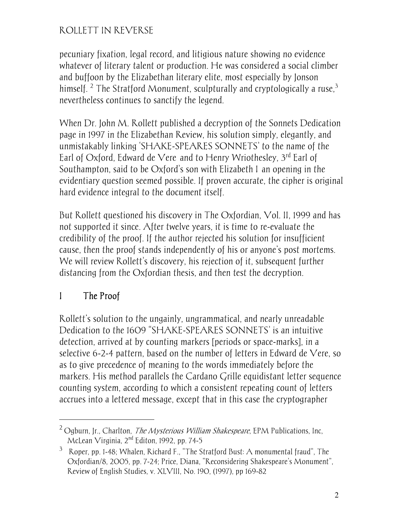pecuniary fixation, legal record, and litigious nature showing no evidence whatever of literary talent or production. He was considered a social climber and buffoon by the Elizabethan literary elite, most especially by Jonson himself. <sup>2</sup> The Stratford Monument, sculpturally and cryptologically a ruse,<sup>3</sup> nevertheless continues to sanctify the legend.

When Dr. John M. Rollett published a decryption of the Sonnets Dedication page in 1997 in the Elizabethan Review, his solution simply, elegantly, and unmistakably linking 'SHAKE-SPEARES SONNETS' to the name of the Earl of Oxford, Edward de Vere and to Henry Wriothesley, 3rd Earl of Southampton, said to be Oxford's son with Elizabeth I an opening in the evidentiary question seemed possible. If proven accurate, the cipher is original hard evidence integral to the document itself.

But Rollett questioned his discovery in The Oxfordian, Vol. II, 1999 and has not supported it since. After twelve years, it is time to re-evaluate the credibility of the proof. If the author rejected his solution for insufficient cause, then the proof stands independently of his or anyone's post mortems. We will review Rollett's discovery, his rejection of it, subsequent further distancing from the Oxfordian thesis, and then test the decryption.

# I The Proof

-

Rollett's solution to the ungainly, ungrammatical, and nearly unreadable Dedication to the 1609 "SHAKE-SPEARES SONNETS' is an intuitive detection, arrived at by counting markers [periods or space-marks], in a selective 6-2-4 pattern, based on the number of letters in Edward de Vere, so as to give precedence of meaning to the words immediately before the markers. His method parallels the Cardano Grille equidistant letter sequence counting system, according to which a consistent repeating count of letters accrues into a lettered message, except that in this case the cryptographer

 $2$  Ogburn, Jr., Charlton, *The Mysterious William Shakespeare*, EPM Publications, Inc, McLean Virginia, 2nd Editon, 1992, pp. 74-5

 $3$  Roper, pp. 1-48; Whalen, Richard F., "The Stratford Bust: A monumental fraud", The Oxfordian/8, 2005, pp. 7-24; Price, Diana, "Reconsidering Shakespeare's Monument", Review of English Studies, v. XLVIII, No. 190, (1997), pp 169-82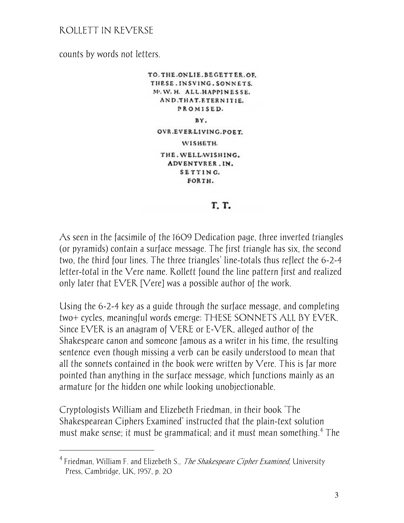counts by words not letters.

 $\overline{a}$ 

TO. THE ONLIE. BEGETTER.OF. THESE. INSVING. SONNETS. M. W. H. ALL HAPPINESSE. AND.THAT.ETERNITIE. PROMISED. BY. OVR.EVER.LIVING.POET. WISHETH. THE. WELL-WISHING. ADVENTVRER.IN. SETTING. FORTH.

#### T. T.

As seen in the facsimile of the 1609 Dedication page, three inverted triangles (or pyramids) contain a surface message. The first triangle has six, the second two, the third four lines. The three triangles' line-totals thus reflect the 6-2-4 letter-total in the Vere name. Rollett found the line pattern first and realized only later that EVER [Vere] was a possible author of the work.

Using the 6-2-4 key as a guide through the surface message, and completing two+ cycles, meaningful words emerge: THESE SONNETS ALL BY EVER. Since EVER is an anagram of VERE or E-VER, alleged author of the Shakespeare canon and someone famous as a writer in his time, the resulting sentence even though missing a verb can be easily understood to mean that all the sonnets contained in the book were written by Vere. This is far more pointed than anything in the surface message, which functions mainly as an armature for the hidden one while looking unobjectionable.

Cryptologists William and Elizebeth Friedman, in their book 'The Shakespearean Ciphers Examined' instructed that the plain-text solution must make sense; it must be grammatical; and it must mean something.<sup>4</sup> The

<sup>&</sup>lt;sup>4</sup> Friedman, William F. and Elizebeth S., *The Shakespeare Cipher Examined*, University Press, Cambridge, UK, 1957, p. 20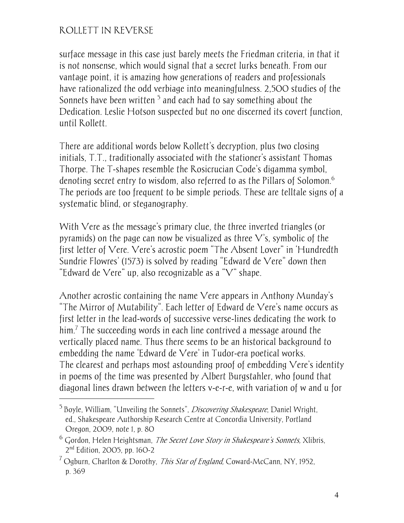$\overline{a}$ 

surface message in this case just barely meets the Friedman criteria, in that it is not nonsense, which would signal that a secret lurks beneath. From our vantage point, it is amazing how generations of readers and professionals have rationalized the odd verbiage into meaningfulness. 2,500 studies of the Sonnets have been written  $^5$  and each had to say something about the Dedication. Leslie Hotson suspected but no one discerned its covert function, until Rollett.

There are additional words below Rollett's decryption, plus two closing initials, T.T., traditionally associated with the stationer's assistant Thomas Thorpe. The T-shapes resemble the Rosicrucian Code's digamma symbol, denoting secret entry to wisdom, also referred to as the Pillars of Solomon.<sup>6</sup> The periods are too frequent to be simple periods. These are telltale signs of a systematic blind, or steganography.

With Vere as the message's primary clue, the three inverted triangles (or pyramids) on the page can now be visualized as three  $V$ 's, symbolic of the first letter of Vere. Vere's acrostic poem "The Absent Lover" in 'Hundredth Sundrie Flowres' (1573) is solved by reading "Edward de Vere" down then "Edward de Vere" up, also recognizable as a "V" shape.

Another acrostic containing the name Vere appears in Anthony Munday's "The Mirror of Mutability". Each letter of Edward de Vere's name occurs as first letter in the lead-words of successive verse-lines dedicating the work to him.<sup>7</sup> The succeeding words in each line contrived a message around the vertically placed name. Thus there seems to be an historical background to embedding the name 'Edward de Vere' in Tudor-era poetical works. The clearest and perhaps most astounding proof of embedding Vere's identity in poems of the time was presented by Albert Burgstahler, who found that diagonal lines drawn between the letters v-e-r-e, with variation of w and u for

 $<sup>5</sup>$  Boyle, William, "Unveiling the Sonnets", *Discovering Shakespeare*, Daniel Wright,</sup> ed., Shakespeare Authorship Research Centre at Concordia University, Portland Oregon, 2009, note 1, p. 80

<sup>&</sup>lt;sup>6</sup> Gordon, Helen Heightsman, *The Secret Love Story in Shakespeare's Sonnets,* Xlibris, 2nd Edition, 2005, pp. 160-2

<sup>&</sup>lt;sup>7</sup> Ogburn, Charlton & Dorothy, *This Star of England*, Coward-McCann, NY, 1952, p. 369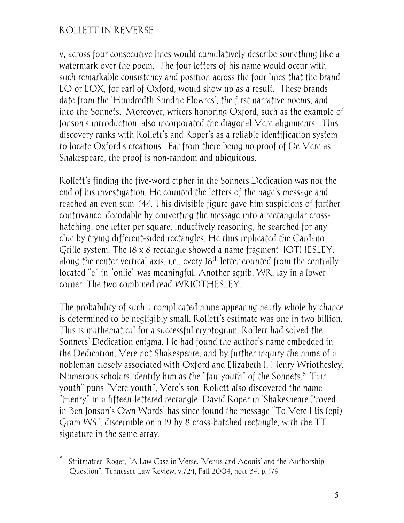-

v, across four consecutive lines would cumulatively describe something like a watermark over the poem. The four letters of his name would occur with such remarkable consistency and position across the four lines that the brand EO or EOX, for earl of Oxford, would show up as a result. These brands date from the 'Hundredth Sundrie Flowres', the first narrative poems, and into the Sonnets. Moreover, writers honoring Oxford, such as the example of Jonson's introduction, also incorporated the diagonal Vere alignments. This discovery ranks with Rollett's and Roper's as a reliable identification system to locate Oxford's creations. Far from there being no proof of De Vere as Shakespeare, the proof is non-random and ubiquitous.

Rollett's finding the five-word cipher in the Sonnets Dedication was not the end of his investigation. He counted the letters of the page's message and reached an even sum: 144. This divisible figure gave him suspicions of further contrivance, decodable by converting the message into a rectangular crosshatching, one letter per square. Inductively reasoning, he searched for any clue by trying different-sided rectangles. He thus replicated the Cardano Grille system. The 18 x 8 rectangle showed a name fragment: IOTHESLEY, along the center vertical axis. i,e., every 18<sup>th</sup> letter counted from the centrally located "e" in "onlie" was meaningful. Another squib, WR, lay in a lower corner. The two combined read WRIOTHESLEY.

The probability of such a complicated name appearing nearly whole by chance is determined to be negligibly small. Rollett's estimate was one in two billion. This is mathematical for a successful cryptogram. Rollett had solved the Sonnets' Dedication enigma. He had found the author's name embedded in the Dedication, Vere not Shakespeare, and by further inquiry the name of a nobleman closely associated with Oxford and Elizabeth I, Henry Wriothesley. Numerous scholars identify him as the "fair youth" of the Sonnets.<sup>8</sup> "Fair youth" puns "Vere youth", Vere's son. Rollett also discovered the name "Henry" in a fifteen-lettered rectangle. David Roper in 'Shakespeare Proved in Ben Jonson's Own Words' has since found the message "To Vere His (epi) Gram WS", discernible on a 19 by 8 cross-hatched rectangle, with the TT signature in the same array.

<sup>8</sup> Stritmatter, Roger, "A Law Case in Verse: 'Venus and Adonis' and the Authorship Question", Tennessee Law Review, v.72:1, Fall 2004, note 34, p. 179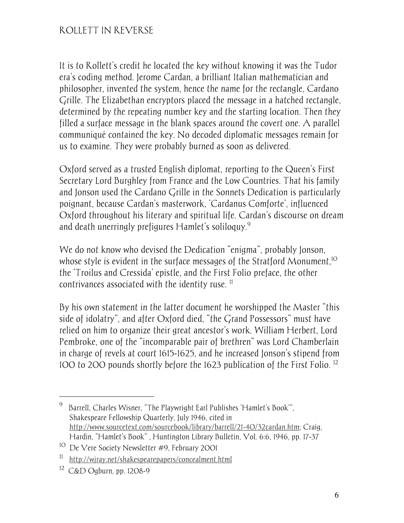It is to Rollett's credit he located the key without knowing it was the Tudor era's coding method. Jerome Cardan, a brilliant Italian mathematician and philosopher, invented the system, hence the name for the rectangle, Cardano Grille. The Elizabethan encryptors placed the message in a hatched rectangle, determined by the repeating number key and the starting location. Then they filled a surface message in the blank spaces around the covert one. A parallel communiqué contained the key. No decoded diplomatic messages remain for us to examine. They were probably burned as soon as delivered.

Oxford served as a trusted English diplomat, reporting to the Queen's First Secretary Lord Burghley from France and the Low Countries. That his family and Jonson used the Cardano Grille in the Sonnets Dedication is particularly poignant, because Cardan's masterwork, 'Cardanus Comforte', influenced Oxford throughout his literary and spiritual life. Cardan's discourse on dream and death unerringly prefigures Hamlet's soliloquy. $^9$ 

We do not know who devised the Dedication "enigma", probably Jonson, whose style is evident in the surface messages of the Stratford Monument,<sup>10</sup> the 'Troilus and Cressida' epistle, and the First Folio preface, the other contrivances associated with the identity ruse.<sup>11</sup>

By his own statement in the latter document he worshipped the Master "this side of idolatry", and after Oxford died, "the Grand Possessors" must have relied on him to organize their great ancestor's work. William Herbert, Lord Pembroke, one of the "incomparable pair of brethren" was Lord Chamberlain in charge of revels at court 1615-1625, and he increased Jonson's stipend from 100 to 200 pounds shortly before the 1623 publication of the First Folio. <sup>12</sup>

<sup>9</sup> Barrell, Charles Wisner, "The Playwright Earl Publishes 'Hamlet's Book'", Shakespeare Fellowship Quarterly, July 1946, cited in http://www.sourcetext.com/sourcebook/library/barrell/21-40/32cardan.htm; Craig, Hardin, "Hamlet's Book" , Huntington Library Bulletin, Vol. 6:6, 1946, pp. 17-37

<sup>&</sup>lt;sup>10</sup> De Vere Society Newsletter #9, February 2001

<sup>11</sup> http://wjray.net/shakespearepapers/concealment.html

<sup>12</sup> C&D Ogburn, pp. 1208-9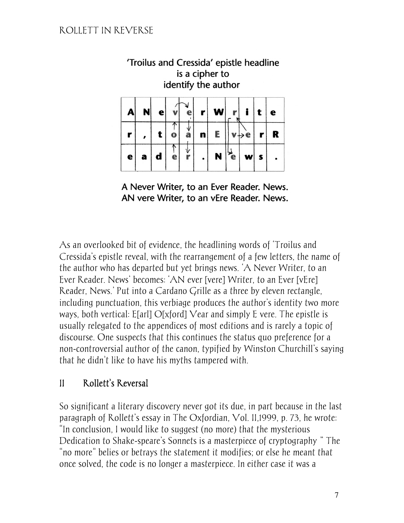| is a cipher to<br>identify the author |   |   |  |  |   |  |  |  |  |   |
|---------------------------------------|---|---|--|--|---|--|--|--|--|---|
| A                                     |   | е |  |  |   |  |  |  |  | e |
|                                       |   |   |  |  | n |  |  |  |  |   |
| e                                     | а |   |  |  |   |  |  |  |  |   |

'Troilus and Cressida' epistle headline

A Never Writer, to an Ever Reader. News. AN vere Writer, to an vEre Reader. News.

As an overlooked bit of evidence, the headlining words of 'Troilus and Cressida's epistle reveal, with the rearrangement of a few letters, the name of the author who has departed but yet brings news. 'A Never Writer, to an Ever Reader. News' becomes: 'AN ever [vere] Writer, to an Ever [vEre] Reader, News.' Put into a Cardano Grille as a three by eleven rectangle, including punctuation, this verbiage produces the author's identity two more ways, both vertical: E[arl] O[xford] Vear and simply E vere. The epistle is usually relegated to the appendices of most editions and is rarely a topic of discourse. One suspects that this continues the status quo preference for a non-controversial author of the canon, typified by Winston Churchill's saying that he didn't like to have his myths tampered with.

# II Rollett's Reversal

So significant a literary discovery never got its due, in part because in the last paragraph of Rollett's essay in The Oxfordian, Vol. II,1999, p. 73, he wrote: "In conclusion, I would like to suggest (no more) that the mysterious Dedication to Shake-speare's Sonnets is a masterpiece of cryptography…" The "no more" belies or betrays the statement it modifies; or else he meant that once solved, the code is no longer a masterpiece. In either case it was a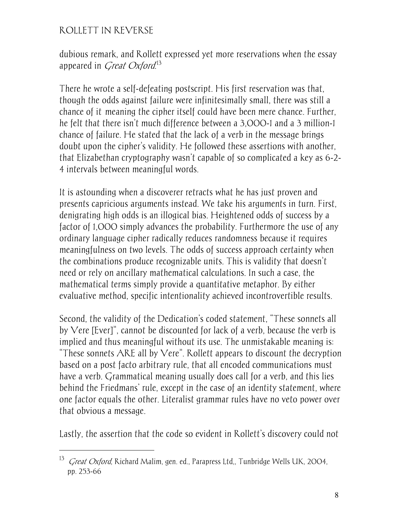$\overline{a}$ 

dubious remark, and Rollett expressed yet more reservations when the essay appeared in *Great Oxford*.<sup>13</sup>

There he wrote a self-defeating postscript. His first reservation was that, though the odds against failure were infinitesimally small, there was still a chance of it meaning the cipher itself could have been mere chance. Further, he felt that there isn't much difference between a 3,000-1 and a 3 million-1 chance of failure. He stated that the lack of a verb in the message brings doubt upon the cipher's validity. He followed these assertions with another, that Elizabethan cryptography wasn't capable of so complicated a key as 6-2- 4 intervals between meaningful words.

It is astounding when a discoverer retracts what he has just proven and presents capricious arguments instead. We take his arguments in turn. First, denigrating high odds is an illogical bias. Heightened odds of success by a factor of 1,000 simply advances the probability. Furthermore the use of any ordinary language cipher radically reduces randomness because it requires meaningfulness on two levels. The odds of success approach certainty when the combinations produce recognizable units. This is validity that doesn't need or rely on ancillary mathematical calculations. In such a case, the mathematical terms simply provide a quantitative metaphor. By either evaluative method, specific intentionality achieved incontrovertible results.

Second, the validity of the Dedication's coded statement, "These sonnets all by Vere [Ever]", cannot be discounted for lack of a verb, because the verb is implied and thus meaningful without its use. The unmistakable meaning is: "These sonnets  $ARE$  all by  $Vere$ ". Rollett appears to discount the decryption based on a post facto arbitrary rule, that all encoded communications must have a verb. Grammatical meaning usually does call for a verb, and this lies behind the Friedmans' rule, except in the case of an identity statement, where one factor equals the other. Literalist grammar rules have no veto power over that obvious a message.

Lastly, the assertion that the code so evident in Rollett's discovery could not

<sup>&</sup>lt;sup>13</sup> *Great Oxford*, Richard Malim, gen. ed., Parapress Ltd., Tunbridge Wells UK, 2004, pp. 253-66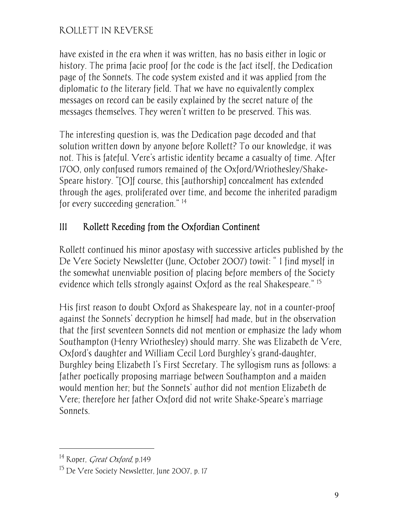have existed in the era when it was written, has no basis either in logic or history. The prima facie proof for the code is the fact itself, the Dedication page of the Sonnets. The code system existed and it was applied from the diplomatic to the literary field. That we have no equivalently complex messages on record can be easily explained by the secret nature of the messages themselves. They weren't written to be preserved. This was.

The interesting question is, was the Dedication page decoded and that solution written down by anyone before Rollett? To our knowledge, it was not. This is fateful. Vere's artistic identity became a casualty of time. After 1700, only confused rumors remained of the Oxford/Wriothesley/Shake-Speare history. "[O]f course, this [authorship] concealment has extended through the ages, proliferated over time, and become the inherited paradigm for every succeeding generation."<sup>14</sup>

# III Rollett Receding from the Oxfordian Continent

Rollett continued his minor apostasy with successive articles published by the De Vere Society Newsletter (June, October 2007) towit: "I find myself in the somewhat unenviable position of placing before members of the Society evidence which tells strongly against Oxford as the real Shakespeare." <sup>15</sup>

His first reason to doubt Oxford as Shakespeare lay, not in a counter-proof against the Sonnets' decryption he himself had made, but in the observation that the first seventeen Sonnets did not mention or emphasize the lady whom Southampton (Henry Wriothesley) should marry. She was Elizabeth de Vere, Oxford's daughter and William Cecil Lord Burghley's grand-daughter, Burghley being Elizabeth I's First Secretary. The syllogism runs as follows: a father poetically proposing marriage between Southampton and a maiden would mention her; but the Sonnets' author did not mention Elizabeth de Vere; therefore her father Oxford did not write Shake-Speare's marriage Sonnets.

<sup>&</sup>lt;sup>14</sup> Roper, *Creat Oxford*, p.149

<sup>15</sup> De Vere Society Newsletter, June 2007, p. 17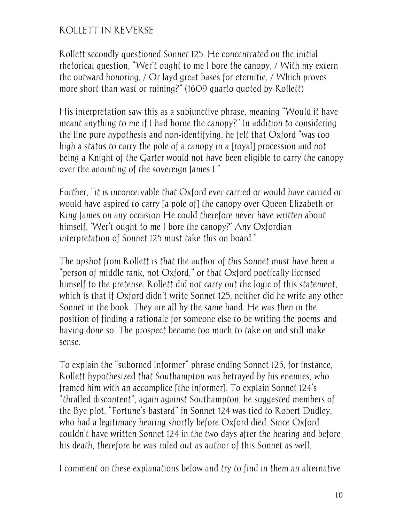Rollett secondly questioned Sonnet 125. He concentrated on the initial rhetorical question, "Wer't ought to me I bore the canopy, / With my extern the outward honoring, / Or layd great bases for eternitie, / Which proves more short than wast or ruining?" (1609 quarto quoted by Rollett)

His interpretation saw this as a subjunctive phrase, meaning "Would it have meant anything to me if I had borne the canopy?" In addition to considering the line pure hypothesis and non-identifying, he felt that Oxford "was too high a status to carry the pole of a canopy in a [royal] procession and not being a Knight of the Garter would not have been eligible to carry the canopy over the anointing of the sovereign James I."

Further, "it is inconceivable that Oxford ever carried or would have carried or would have aspired to carry [a pole of] the canopy over Queen Elizabeth or King James on any occasion He could therefore never have written about himself, 'Wer't ought to me I bore the canopy?' Any Oxfordian interpretation of Sonnet 125 must take this on board."

The upshot from Rollett is that the author of this Sonnet must have been a "person of middle rank, not Oxford," or that Oxford poetically licensed himself to the pretense. Rollett did not carry out the logic of this statement, which is that if Oxford didn't write Sonnet 125, neither did he write any other Sonnet in the book. They are all by the same hand. He was then in the position of finding a rationale for someone else to be writing the poems—and having done so. The prospect became too much to take on and still make sense.

To explain the "suborned Informer" phrase ending Sonnet 125, for instance, Rollett hypothesized that Southampton was betrayed by his enemies, who framed him with an accomplice [the informer]. To explain Sonnet 124's "thralled discontent", again against Southampton, he suggested members of the Bye plot. "Fortune's bastard" in Sonnet 124 was tied to Robert Dudley, who had a legitimacy hearing shortly before Oxford died. Since Oxford couldn't have written Sonnet 124 in the two days after the hearing and before his death, therefore he was ruled out as author of this Sonnet as well.

I comment on these explanations below and try to find in them an alternative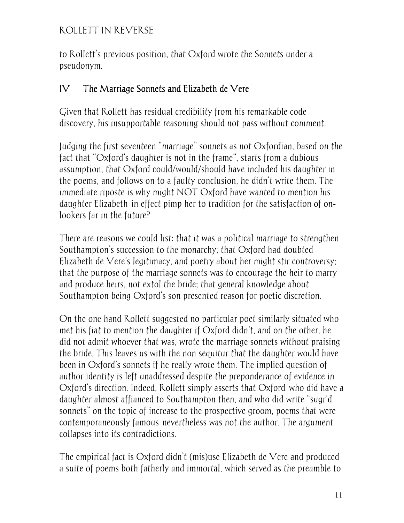to Rollett's previous position, that Oxford wrote the Sonnets under a pseudonym.

### IV The Marriage Sonnets and Elizabeth de Vere

Given that Rollett has residual credibility from his remarkable code discovery, his insupportable reasoning should not pass without comment.

Judging the first seventeen "marriage" sonnets as not Oxfordian, based on the fact that "Oxford's daughter is not in the frame", starts from a dubious assumption, that Oxford could/would/should have included his daughter in the poems, and follows on to a faulty conclusion, he didn't write them. The immediate riposte is why might NOT Oxford have wanted to mention his daughter Elizabeth in effect pimp her to tradition for the satisfaction of onlookers far in the future?

There are reasons we could list: that it was a political marriage to strengthen Southampton's succession to the monarchy; that Oxford had doubted Elizabeth de Vere's legitimacy, and poetry about her might stir controversy; that the purpose of the marriage sonnets was to encourage the heir to marry and produce heirs, not extol the bride; that general knowledge about Southampton being Oxford's son presented reason for poetic discretion.

On the one hand Rollett suggested no particular poet similarly situated who met his fiat to mention the daughter if Oxford didn't, and on the other, he did not admit whoever that was, wrote the marriage sonnets without praising the bride. This leaves us with the non sequitur that the daughter would have been in Oxford's sonnets if he really wrote them. The implied question of author identity is left unaddressed despite the preponderance of evidence in Oxford's direction. Indeed, Rollett simply asserts that Oxford—who did have a daughter almost affianced to Southampton then, and who did write "sugr'd sonnets" on the topic of increase to the prospective groom, poems that were contemporaneously famous nevertheless was not the author. The argument collapses into its contradictions.

The empirical fact is Oxford didn't (mis)use Elizabeth de Vere and produced a suite of poems both fatherly and immortal, which served as the preamble to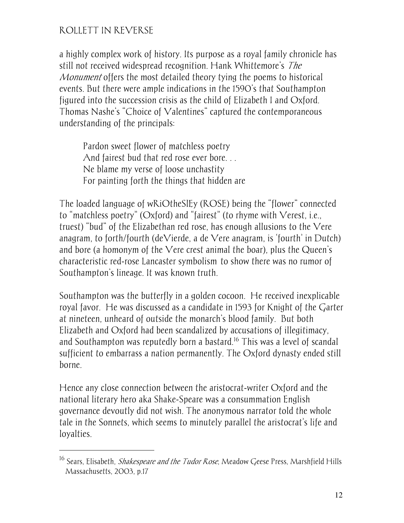-

a highly complex work of history. Its purpose as a royal family chronicle has still not received widespread recognition. Hank Whittemore's The Monument offers the most detailed theory tying the poems to historical events. But there were ample indications in the 1590's that Southampton figured into the succession crisis as the child of Elizabeth I and Oxford. Thomas Nashe's "Choice of Valentines" captured the contemporaneous understanding of the principals:

Pardon sweet flower of matchless poetry And fairest bud that red rose ever bore... Ne blame my verse of loose unchastity For painting forth the things that hidden are

The loaded language of wRiOtheSlEy (ROSE) being the "flower" connected to "matchless poetry" (Oxford) and "fairest" (to rhyme with Verest, i.e., truest) "bud" of the Elizabethan red rose, has enough allusions to the Vere anagram, to forth/fourth (deVierde, a de Vere anagram, is 'fourth' in Dutch) and bore (a homonym of the Vere crest animal the boar), plus the Queen's characteristic red-rose Lancaster symbolism—to show there was no rumor of Southampton's lineage. It was known truth.

Southampton was the butterfly in a golden cocoon. He received inexplicable royal favor. He was discussed as a candidate in 1593 for Knight of the Garter at nineteen, unheard of outside the monarch's blood family. But both Elizabeth and Oxford had been scandalized by accusations of illegitimacy, and Southampton was reputedly born a bastard.<sup>16</sup> This was a level of scandal sufficient to embarrass a nation permanently. The Oxford dynasty ended still borne.

Hence any close connection between the aristocrat-writer Oxford and the national literary hero aka Shake-Speare was a consummation English governance devoutly did not wish. The anonymous narrator told the whole tale in the Sonnets, which seems to minutely parallel the aristocrat's life and loyalties.

<sup>&</sup>lt;sup>16</sup> Sears, Elisabeth, *Shakespeare and the Tudor Rose*, Meadow Geese Press, Marshfield Hills Massachusetts, 2003, p.17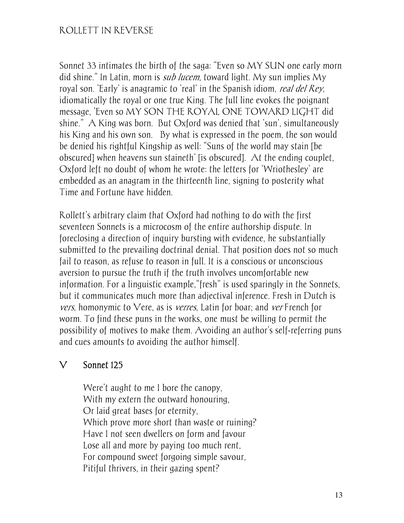Sonnet 33 intimates the birth of the saga: "Even so MY SUN one early morn did shine." In Latin, morn is *sub lucem*, toward light. My sun implies My royal son. 'Early' is anagramic to 'real' in the Spanish idiom, real del Rey, idiomatically the royal or one true King. The full line evokes the poignant message, 'Even so MY SON THE ROYAL ONE TOWARD LIGHT did shine." A King was born. But Oxford was denied that 'sun', simultaneously his King and his own son. By what is expressed in the poem, the son would be denied his rightful Kingship as well: "Suns of the world may stain [be obscured] when heavens sun staineth' [is obscured]. At the ending couplet, Oxford left no doubt of whom he wrote: the letters for 'Wriothesley' are embedded as an anagram in the thirteenth line, signing to posterity what Time and Fortune have hidden.

Rollett's arbitrary claim that Oxford had nothing to do with the first seventeen Sonnets is a microcosm of the entire authorship dispute. In foreclosing a direction of inquiry bursting with evidence, he substantially submitted to the prevailing doctrinal denial. That position does not so much fail to reason, as refuse to reason in full. It is a conscious or unconscious aversion to pursue the truth if the truth involves uncomfortable new information. For a linguistic example,"fresh" is used sparingly in the Sonnets, but it communicates much more than adjectival inference. Fresh in Dutch is vers, homonymic to Vere, as is verres, Latin for boar; and ver French for worm. To find these puns in the works, one must be willing to permit the possibility of motives to make them. Avoiding an author's self-referring puns and cues amounts to avoiding the author himself.

#### V Sonnet 125

Were't aught to me I bore the canopy, With my extern the outward honouring, Or laid great bases for eternity, Which prove more short than waste or ruining? Have I not seen dwellers on form and favour Lose all and more by paying too much rent, For compound sweet forgoing simple savour, Pitiful thrivers, in their gazing spent?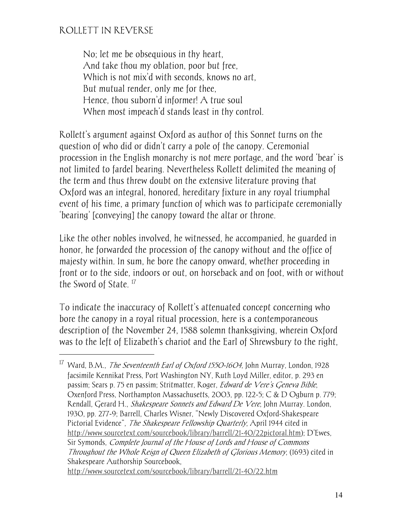$\overline{a}$ 

No; let me be obsequious in thy heart, And take thou my oblation, poor but free, Which is not mix'd with seconds, knows no art, But mutual render, only me for thee, Hence, thou suborn'd informer! A true soul When most impeach'd stands least in thy control.

Rollett's argument against Oxford as author of this Sonnet turns on the question of who did or didn't carry a pole of the canopy. Ceremonial procession in the English monarchy is not mere portage, and the word 'bear' is not limited to fardel bearing. Nevertheless Rollett delimited the meaning of the term and thus threw doubt on the extensive literature proving that Oxford was an integral, honored, hereditary fixture in any royal triumphal event of his time, a primary function of which was to participate ceremonially 'bearing' [conveying] the canopy toward the altar or throne.

Like the other nobles involved, he witnessed, he accompanied, he guarded in honor, he forwarded the procession of the canopy without and the office of majesty within. In sum, he bore the canopy onward, whether proceeding in front or to the side, indoors or out, on horseback and on foot, with or without the Sword of State.<sup>17</sup>

To indicate the inaccuracy of Rollett's attenuated concept concerning who bore the canopy in a royal ritual procession, here is a contemporaneous description of the November 24, 1588 solemn thanksgiving, wherein Oxford was to the left of Elizabeth's chariot and the Earl of Shrewsbury to the right,

<sup>&</sup>lt;sup>17</sup> Ward, B.M., *The Seventeenth Earl of Oxford 1550-1604*, John Murray, London, 1928 facsimile Kennikat Press, Port Washington NY, Ruth Loyd Miller, editor, p. 293 en passim; Sears p. 75 en passim; Stritmatter, Roger, Edward de Vere's Geneva Bible, Oxenford Press, Northampton Massachusetts, 2003, pp. 122-5; C & D Ogburn p. 779; Rendall, Gerard H., Shakespeare Sonnets and Edward De Vere, John Murray. London, 1930, pp. 277-9; Barrell, Charles Wisner, "Newly Discovered Oxford-Shakespeare Pictorial Evidence", The Shakespeare Fellowship Quarterly, April 1944 cited in http://www.sourcetext.com/sourcebook/library/barrell/21-40/22pictoral.htm); D'Ewes, Sir Symonds, Complete Journal of the House of Lords and House of Commons Throughout the Whole Reign of Queen Elizabeth of Glorious Memory, (1693) cited in Shakespeare Authorship Sourcebook, http://www.sourcetext.com/sourcebook/library/barrell/21-40/22.htm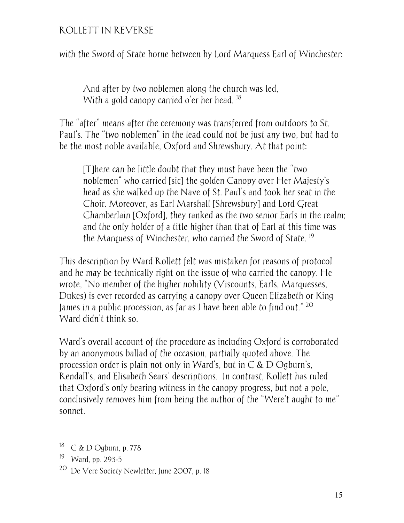with the Sword of State borne between by Lord Marquess Earl of Winchester:

And after by two noblemen along the church was led, With a gold canopy carried o'er her head.<sup>18</sup>

The "after" means after the ceremony was transferred from outdoors to St. Paul's. The "two noblemen" in the lead could not be just any two, but had to be the most noble available, Oxford and Shrewsbury. At that point:

[T]here can be little doubt that they must have been the "two noblemen" who carried [sic] the golden Canopy over Her Majesty's head as she walked up the Nave of St. Paul's and took her seat in the Choir. Moreover, as Earl Marshall [Shrewsbury] and Lord Great Chamberlain [Oxford], they ranked as the two senior Earls in the realm; and the only holder of a title higher than that of Earl at this time was the Marquess of Winchester, who carried the Sword of State.<sup>19</sup>

This description by Ward Rollett felt was mistaken for reasons of protocol and he may be technically right on the issue of who carried the canopy. He wrote, "No member of the higher nobility (Viscounts, Earls, Marquesses, Dukes) is ever recorded as carrying a canopy over Queen Elizabeth or King James in a public procession, as far as I have been able to find out."  $^{20}$ Ward didn't think so.

Ward's overall account of the procedure as including Oxford is corroborated by an anonymous ballad of the occasion, partially quoted above. The procession order is plain not only in Ward's, but in  $\overline{C}$  &  $\overline{D}$  Ogburn's, Rendall's, and Elisabeth Sears' descriptions. In contrast, Rollett has ruled that Oxford's only bearing witness in the canopy progress, but not a pole, conclusively removes him from being the author of the "Were't aught to me" sonnet.

-

<sup>18</sup> C & D Ogburn, p. 778

<sup>19</sup> Ward, pp. 293-5

<sup>20</sup> De Vere Society Newletter, June 2007, p. 18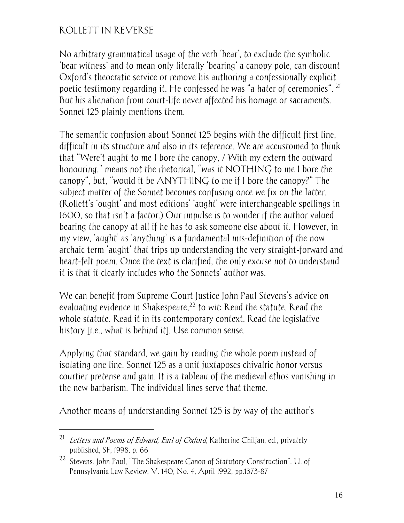$\overline{a}$ 

No arbitrary grammatical usage of the verb 'bear', to exclude the symbolic 'bear witness' and to mean only literally 'bearing' a canopy pole, can discount Oxford's theocratic service or remove his authoring a confessionally explicit poetic testimony regarding it. He confessed he was "a hater of ceremonies". 21 But his alienation from court-life never affected his homage or sacraments. Sonnet 125 plainly mentions them.

The semantic confusion about Sonnet 125 begins with the difficult first line, difficult in its structure and also in its reference. We are accustomed to think that "Were't aught to me I bore the canopy, / With my extern the outward honouring," means not the rhetorical, "was it NOTHING to me I bore the canopy", but, "would it be  $\triangle NYTHING$  to me if I bore the canopy?" The subject matter of the Sonnet becomes confusing once we fix on the latter. (Rollett's 'ought' and most editions' 'aught' were interchangeable spellings in 1600, so that isn't a factor.) Our impulse is to wonder if the author valued bearing the canopy at all if he has to ask someone else about it. However, in my view, 'aught' as 'anything' is a fundamental mis-definition of the now archaic term 'aught' that trips up understanding the very straight-forward and heart-felt poem. Once the text is clarified, the only excuse not to understand it is that it clearly includes who the Sonnets' author was.

We can benefit from Supreme Court Justice John Paul Stevens's advice on evaluating evidence in Shakespeare,<sup>22</sup> to wit: Read the statute. Read the whole statute. Read it in its contemporary context. Read the legislative history [i.e., what is behind it]. Use common sense.

Applying that standard, we gain by reading the whole poem instead of isolating one line. Sonnet 125 as a unit juxtaposes chivalric honor versus courtier pretense and gain. It is a tableau of the medieval ethos vanishing in the new barbarism. The individual lines serve that theme.

Another means of understanding Sonnet 125 is by way of the author's

<sup>&</sup>lt;sup>21</sup> Letters and Poems of Edward, Earl of Oxford, Katherine Chiljan, ed., privately published, SF, 1998, p. 66

<sup>22</sup> Stevens. John Paul, "The Shakespeare Canon of Statutory Construction", U. of Pennsylvania Law Review, V. 140, No. 4, April l992, pp.1373-87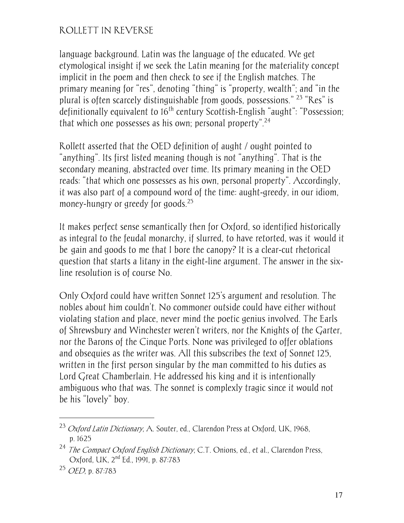language background. Latin was the language of the educated. We get etymological insight if we seek the Latin meaning for the materiality concept implicit in the poem and then check to see if the English matches. The primary meaning for "res", denoting "thing" is "property, wealth"; and "in the plural is often scarcely distinguishable from goods, possessions." 23 "Res" is definitionally equivalent to 16<sup>th</sup> century Scottish-English "aught": "Possession; that which one possesses as his own; personal property".<sup>24</sup>

Rollett asserted that the OED definition of aught / ought pointed to "anything". Its first listed meaning though is not "anything". That is the secondary meaning, abstracted over time. Its primary meaning in the OED reads: "that which one possesses as his own, personal property". Accordingly, it was also part of a compound word of the time: aught-greedy, in our idiom, money-hungry or greedy for goods.<sup>25</sup>

It makes perfect sense semantically then for Oxford, so identified historically as integral to the feudal monarchy, if slurred, to have retorted, was it would it be gain and goods to me that I bore the canopy? It is a clear-cut rhetorical question that starts a litany in the eight-line argument. The answer in the sixline resolution is of course No.

Only Oxford could have written Sonnet 125's argument and resolution. The nobles about him couldn't. No commoner outside could have either without violating station and place, never mind the poetic genius involved. The Earls of Shrewsbury and Winchester weren't writers, nor the Knights of the Garter, nor the Barons of the Cinque Ports. None was privileged to offer oblations and obsequies as the writer was. All this subscribes the text of Sonnet 125, written in the first person singular by the man committed to his duties as Lord Great Chamberlain. He addressed his king and it is intentionally ambiguous who that was. The sonnet is complexly tragic since it would not be his "lovely" boy.

<sup>&</sup>lt;sup>23</sup> *Oxford Latin Dictionary*, A. Souter, ed., Clarendon Press at Oxford, UK, 1968, p. 1625

<sup>&</sup>lt;sup>24</sup> The Compact Oxford English Dictionary, C.T. Onions, ed., et al., Clarendon Press, Oxford, UK, 2nd Ed., 1991, p. 87:783

<sup>25</sup> OED, p. 87:783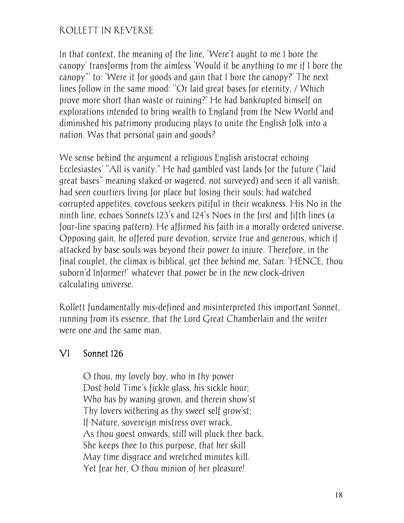In that context, the meaning of the line, 'Were't aught to me I bore the canopy' transforms from the aimless 'Would it be anything to me if I bore the canopy"' to: 'Were it for goods and gain that I bore the canopy?' The next lines follow in the same mood: ''Or laid great bases for eternity, / Which prove more short than waste or ruining?' He had bankrupted himself on explorations intended to bring wealth to England from the New World and diminished his patrimony producing plays to unite the English folk into a nation. Was that personal gain and goods?

We sense behind the argument a religious English aristocrat echoing Ecclesiastes' "All is vanity." He had gambled vast lands for the future ("laid great bases" meaning staked or wagered, not surveyed) and seen it all vanish; had seen courtiers living for place but losing their souls; had watched corrupted appetites, covetous seekers pitiful in their weakness. His No in the ninth line, echoes Sonnets 123's and 124's Noes in the first and fifth lines (a four-line spacing pattern). He affirmed his faith in a morally ordered universe. Opposing gain, he offered pure devotion, service true and generous, which if attacked by base souls was beyond their power to injure. Therefore, in the final couplet, the climax is biblical, get thee behind me, Satan: 'HENCE, thou suborn'd Informer!' whatever that power be in the new clock-driven calculating universe.

Rollett fundamentally mis-defined and misinterpreted this important Sonnet, running from its essence, that the Lord Great Chamberlain and the writer were one and the same man.

### VI Sonnet 126

O thou, my lovely boy, who in thy power Dost hold Time's fickle glass, his sickle hour; Who has by waning grown, and therein show'st Thy lovers withering as thy sweet self grow'st; If Nature, sovereign mistress over wrack, As thou goest onwards, still will pluck thee back, She keeps thee to this purpose, that her skill May time disgrace and wretched minutes kill. Yet fear her, O thou minion of her pleasure!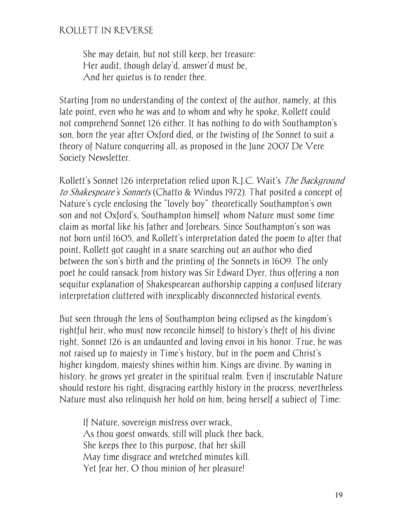She may detain, but not still keep, her treasure: Her audit, though delay'd, answer'd must be, And her quietus is to render thee.

Starting from no understanding of the context of the author, namely, at this late point, even who he was and to whom and why he spoke, Rollett could not comprehend Sonnet 126 either. It has nothing to do with Southampton's son, born the year after Oxford died, or the twisting of the Sonnet to suit a theory of Nature conquering all, as proposed in the June 2007 De Vere Society Newsletter.

Rollett's Sonnet 126 interpretation relied upon R.J.C. Wait's The Background to Shakespeare's Sonnets (Chatto & Windus 1972). That posited a concept of Nature's cycle enclosing the "lovely boy" theoretically Southampton's own son and not Oxford's, Southampton himself—whom Nature must some time claim as mortal like his father and forebears. Since Southampton's son was not born until 1605, and Rollett's interpretation dated the poem to after that point, Rollett got caught in a snare searching out an author who died between the son's birth and the printing of the Sonnets in 1609. The only poet he could ransack from history was Sir Edward Dyer, thus offering a non sequitur explanation of Shakespearean authorship capping a confused literary interpretation cluttered with inexplicably disconnected historical events.

But seen through the lens of Southampton being eclipsed as the kingdom's rightful heir, who must now reconcile himself to history's theft of his divine right, Sonnet 126 is an undaunted and loving envoi in his honor. True, he was not raised up to majesty in Time's history, but in the poem and Christ's higher kingdom, majesty shines within him. Kings are divine. By waning in history, he grows yet greater in the spiritual realm. Even if inscrutable Nature should restore his right, disgracing earthly history in the process, nevertheless Nature must also relinquish her hold on him, being herself a subject of Time:

If Nature, sovereign mistress over wrack, As thou goest onwards, still will pluck thee back, She keeps thee to this purpose, that her skill May time disgrace and wretched minutes kill. Yet fear her, O thou minion of her pleasure!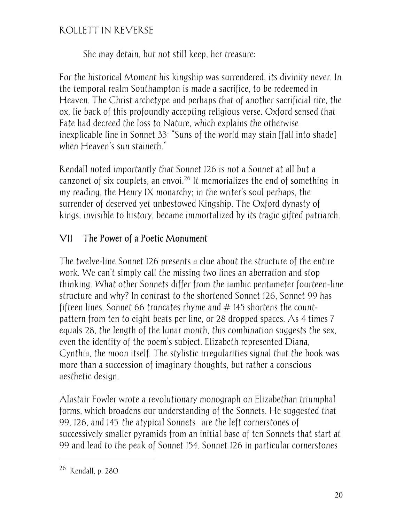She may detain, but not still keep, her treasure:

For the historical Moment his kingship was surrendered, its divinity never. In the temporal realm Southampton is made a sacrifice, to be redeemed in Heaven. The Christ archetype and perhaps that of another sacrificial rite, the ox, lie back of this profoundly accepting religious verse. Oxford sensed that Fate had decreed the loss to Nature, which explains the otherwise inexplicable line in Sonnet 33: "Suns of the world may stain [fall into shade] when Heaven's sun staineth."

Rendall noted importantly that Sonnet 126 is not a Sonnet at all but a canzonet of six couplets, an envoi.<sup>26</sup> It memorializes the end of something in my reading, the Henry IX monarchy; in the writer's soul perhaps, the surrender of deserved yet unbestowed Kingship. The Oxford dynasty of kings, invisible to history, became immortalized by its tragic gifted patriarch.

# VII The Power of a Poetic Monument

The twelve-line Sonnet 126 presents a clue about the structure of the entire work. We can't simply call the missing two lines an aberration and stop thinking. What other Sonnets differ from the iambic pentameter fourteen-line structure and why? In contrast to the shortened Sonnet 126, Sonnet 99 has fifteen lines. Sonnet 66 truncates rhyme and #145 shortens the countpattern from ten to eight beats per line, or 28 dropped spaces. As 4 times 7 equals 28, the length of the lunar month, this combination suggests the sex, even the identity of the poem's subject. Elizabeth represented Diana, Cynthia, the moon itself. The stylistic irregularities signal that the book was more than a succession of imaginary thoughts, but rather a conscious aesthetic design.

Alastair Fowler wrote a revolutionary monograph on Elizabethan triumphal forms, which broadens our understanding of the Sonnets. He suggested that 99, 126, and 145 the atypical Sonnets— are the left cornerstones of successively smaller pyramids from an initial base of ten Sonnets that start at 99 and lead to the peak of Sonnet 154. Sonnet 126 in particular cornerstones

<sup>26</sup> Rendall, p. 280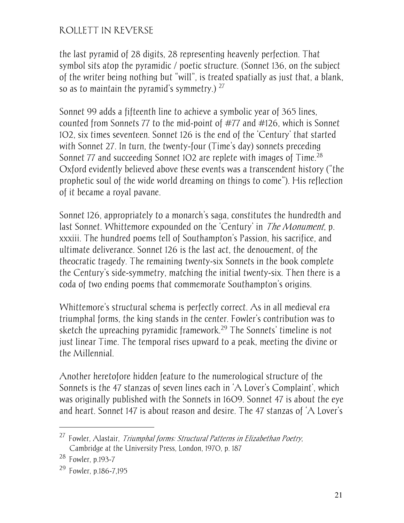the last pyramid of 28 digits, 28 representing heavenly perfection. That symbol sits atop the pyramidic / poetic structure. (Sonnet 136, on the subject of the writer being nothing but "will", is treated spatially as just that, a blank, so as to maintain the pyramid's symmetry.)  $27$ 

Sonnet 99 adds a fifteenth line to achieve a symbolic year of 365 lines, counted from Sonnets 77 to the mid-point of #77 and #126, which is Sonnet 102, six times seventeen. Sonnet 126 is the end of the 'Century' that started with Sonnet 27. In turn, the twenty-four (Time's day) sonnets preceding Sonnet 77 and succeeding Sonnet 1O2 are replete with images of Time.<sup>28</sup> Oxford evidently believed above these events was a transcendent history ("the prophetic soul of the wide world dreaming on things to come"). His reflection of it became a royal pavane.

Sonnet 126, appropriately to a monarch's saga, constitutes the hundredth and last Sonnet. Whittemore expounded on the 'Century' in *The Monument*, p. xxxiii. The hundred poems tell of Southampton's Passion, his sacrifice, and ultimate deliverance. Sonnet 126 is the last act, the denouement, of the theocratic tragedy. The remaining twenty-six Sonnets in the book complete the Century's side-symmetry, matching the initial twenty-six. Then there is a coda of two ending poems that commemorate Southampton's origins.

Whittemore's structural schema is perfectly correct. As in all medieval era triumphal forms, the king stands in the center. Fowler's contribution was to sketch the upreaching pyramidic framework.<sup>29</sup> The Sonnets' timeline is not just linear Time. The temporal rises upward to a peak, meeting the divine or the Millennial.

Another heretofore hidden feature to the numerological structure of the Sonnets is the 47 stanzas of seven lines each in 'A Lover's Complaint', which was originally published with the Sonnets in 1609. Sonnet 47 is about the eye and heart. Sonnet 147 is about reason and desire. The 47 stanzas of 'A Lover's

-

<sup>&</sup>lt;sup>27</sup> Fowler, Alastair, Triumphal forms: Structural Patterns in Elizabethan Poetry, Cambridge at the University Press, London, 1970, p. 187

<sup>28</sup> Fowler, p.193-7

<sup>&</sup>lt;sup>29</sup> Fowler, p.186-7,195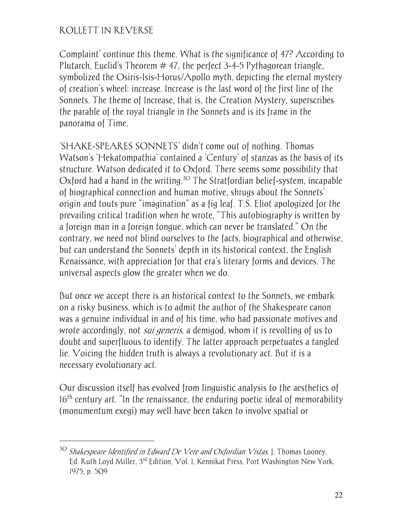-

Complaint' continue this theme. What is the significance of 47? According to Plutarch, Euclid's Theorem  $#$  47, the perfect 3-4-5 Pythagorean triangle, symbolized the Osiris-Isis-Horus/Apollo myth, depicting the eternal mystery of creation's wheel: increase. Increase is the last word of the first line of the Sonnets. The theme of Increase, that is, the Creation Mystery, superscribes the parable of the royal triangle in the Sonnets and is its frame in the panorama of Time.

'SHAKE-SPEARES SONNETS' didn't come out of nothing. Thomas Watson's 'Hekatompathia' contained a 'Century' of stanzas as the basis of its structure. Watson dedicated it to Oxford. There seems some possibility that Oxford had a hand in the writing.<sup>30</sup> The Stratfordian belief-system, incapable of biographical connection and human motive, shrugs about the Sonnets' origin and touts pure "imagination" as a fig leaf. T.S. Eliot apologized for the prevailing critical tradition when he wrote, "This autobiography is written by a foreign man in a foreign tongue, which can never be translated." On the contrary, we need not blind ourselves to the facts, biographical and otherwise, but can understand the Sonnets' depth in its historical context, the English Renaissance, with appreciation for that era's literary forms and devices. The universal aspects glow the greater when we do.

But once we accept there is an historical context to the Sonnets, we embark on a risky business, which is to admit the author of the Shakespeare canon was a genuine individual in and of his time, who had passionate motives and wrote accordingly, not *sui generis*, a demigod, whom it is revolting of us to doubt and superfluous to identify. The latter approach perpetuates a tangled lie. Voicing the hidden truth is always a revolutionary act. But it is a necessary evolutionary act.

Our discussion itself has evolved from linguistic analysis to the aesthetics of  $16<sup>th</sup>$  century art. "In the renaissance, the enduring poetic ideal of memorability (monumentum exegi) may well have been taken to involve spatial or

 $30$  Shakespeare Identified in Edward De Vere and Oxfordian Vistas, J. Thomas Looney, Ed. Ruth Loyd Miller, 3<sup>rd</sup> Edition, Vol. J. Kennikat Press, Port Washington New York, 1975, p. 509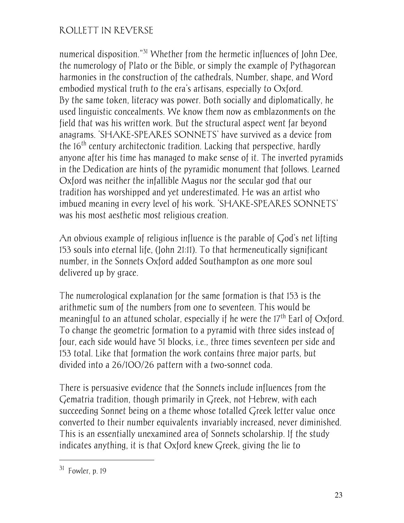numerical disposition.<sup>"31</sup> Whether from the hermetic influences of John Dee, the numerology of Plato or the Bible, or simply the example of Pythagorean harmonies in the construction of the cathedrals, Number, shape, and Word embodied mystical truth to the era's artisans, especially to Oxford. By the same token, literacy was power. Both socially and diplomatically, he used linguistic concealments. We know them now as emblazonments on the field that was his written work. But the structural aspect went far beyond anagrams. 'SHAKE-SPEARES SONNETS' have survived as a device from the 16<sup>th</sup> century architectonic tradition. Lacking that perspective, hardly anyone after his time has managed to make sense of it. The inverted pyramids in the Dedication are hints of the pyramidic monument that follows. Learned Oxford was neither the infallible Magus nor the secular god that our tradition has worshipped and yet underestimated. He was an artist who imbued meaning in every level of his work. 'SHAKE-SPEARES SONNETS' was his most aesthetic most religious creation.

An obvious example of religious influence is the parable of God's net lifting 153 souls into eternal life, (John 21:11). To that hermeneutically significant number, in the Sonnets Oxford added Southampton as one more soul delivered up by grace.

The numerological explanation for the same formation is that 153 is the arithmetic sum of the numbers from one to seventeen. This would be meaningful to an attuned scholar, especially if he were the  $17<sup>th</sup>$  Earl of Oxford. To change the geometric formation to a pyramid with three sides instead of four, each side would have 51 blocks, i.e., three times seventeen per side and 153 total. Like that formation the work contains three major parts, but divided into a 26/100/26 pattern with a two-sonnet coda.

There is persuasive evidence that the Sonnets include influences from the Gematria tradition, though primarily in Greek, not Hebrew, with each succeeding Sonnet being on a theme whose totalled Greek letter value once converted to their number equivalents invariably increased, never diminished. This is an essentially unexamined area of Sonnets scholarship. If the study indicates anything, it is that Oxford knew Greek, giving the lie to

 $31$  Fowler n 19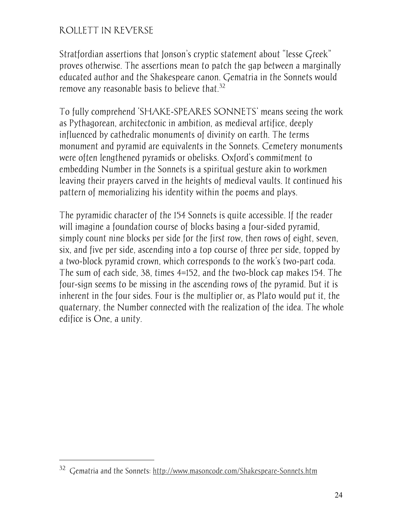Stratfordian assertions that Jonson's cryptic statement about "lesse Greek" proves otherwise. The assertions mean to patch the gap between a marginally educated author and the Shakespeare canon. Gematria in the Sonnets would remove any reasonable basis to believe that.<sup>32</sup>

To fully comprehend 'SHAKE-SPEARES SONNETS' means seeing the work as Pythagorean, architectonic in ambition, as medieval artifice, deeply influenced by cathedralic monuments of divinity on earth. The terms monument and pyramid are equivalents in the Sonnets. Cemetery monuments were often lengthened pyramids or obelisks. Oxford's commitment to embedding Number in the Sonnets is a spiritual gesture akin to workmen leaving their prayers carved in the heights of medieval vaults. It continued his pattern of memorializing his identity within the poems and plays.

The pyramidic character of the 154 Sonnets is quite accessible. If the reader will imagine a foundation course of blocks basing a four-sided pyramid, simply count nine blocks per side for the first row, then rows of eight, seven, six, and five per side, ascending into a top course of three per side, topped by a two-block pyramid crown, which corresponds to the work's two-part coda. The sum of each side, 38, times 4=152, and the two-block cap makes 154. The four-sign seems to be missing in the ascending rows of the pyramid. But it is inherent in the four sides. Four is the multiplier or, as Plato would put it, the quaternary, the Number connected with the realization of the idea. The whole edifice is One, a unity.

<sup>32</sup> Gematria and the Sonnets: http://www.masoncode.com/Shakespeare-Sonnets.htm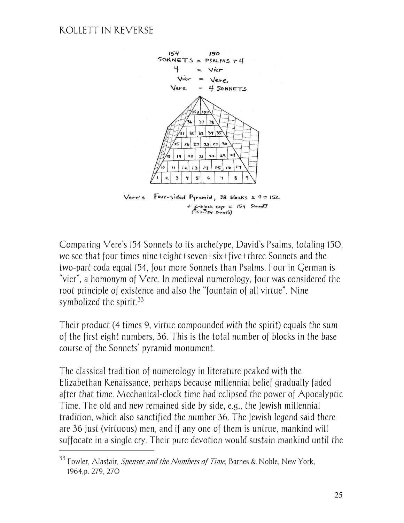$\overline{a}$ 



Comparing Vere's 154 Sonnets to its archetype, David's Psalms, totaling 150, we see that four times nine+eight+seven+six+five+three Sonnets and the two-part coda equal 154, four more Sonnets than Psalms. Four in German is "vier", a homonym of Vere. In medieval numerology, four was considered the root principle of existence and also the "fountain of all virtue". Nine symbolized the spirit. $33$ 

Their product (4 times 9, virtue compounded with the spirit) equals the sum of the first eight numbers, 36. This is the total number of blocks in the base course of the Sonnets' pyramid monument.

The classical tradition of numerology in literature peaked with the Elizabethan Renaissance, perhaps because millennial belief gradually faded after that time. Mechanical-clock time had eclipsed the power of Apocalyptic Time. The old and new remained side by side, e.g., the Jewish millennial tradition, which also sanctified the number 36. The Jewish legend said there are 36 just (virtuous) men, and if any one of them is untrue, mankind will suffocate in a single cry. Their pure devotion would sustain mankind until the

 $33$  Fowler, Alastair, *Spenser and the Numbers of Time*, Barnes & Noble, New York, 1964,p. 279, 270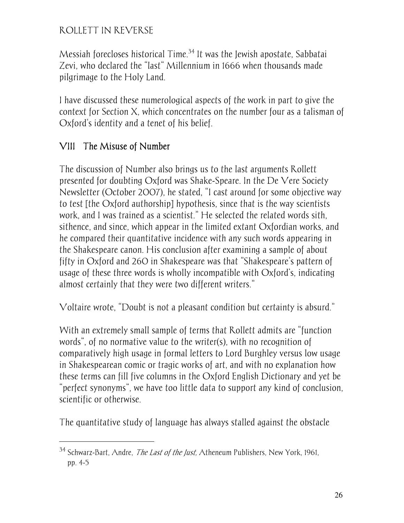Messiah forecloses historical Time.<sup>34</sup> It was the Jewish apostate, Sabbatai Zevi, who declared the "last" Millennium in 1666 when thousands made pilgrimage to the Holy Land.

I have discussed these numerological aspects of the work in part to give the context for Section X, which concentrates on the number four as a talisman of Oxford's identity and a tenet of his belief.

# VIII The Misuse of Number

 $\overline{a}$ 

The discussion of Number also brings us to the last arguments Rollett presented for doubting Oxford was Shake-Speare. In the De Vere Society Newsletter (October 2007), he stated, "I cast around for some objective way to test [the Oxford authorship] hypothesis, since that is the way scientists work, and I was trained as a scientist." He selected the related words sith, sithence, and since, which appear in the limited extant Oxfordian works, and he compared their quantitative incidence with any such words appearing in the Shakespeare canon. His conclusion after examining a sample of about fifty in Oxford and 260 in Shakespeare was that "Shakespeare's pattern of usage of these three words is wholly incompatible with Oxford's, indicating almost certainly that they were two different writers."

Voltaire wrote, "Doubt is not a pleasant condition but certainty is absurd."

With an extremely small sample of terms that Rollett admits are "function words", of no normative value to the writer(s), with no recognition of comparatively high usage in formal letters to Lord Burghley versus low usage in Shakespearean comic or tragic works of art, and with no explanation how these terms can fill five columns in the Oxford English Dictionary and yet be "perfect synonyms", we have too little data to support any kind of conclusion, scientific or otherwise.

The quantitative study of language has always stalled against the obstacle

<sup>&</sup>lt;sup>34</sup> Schwarz-Bart, Andre, *The Last of the Just*, Atheneum Publishers, New York, 1961, pp. 4-5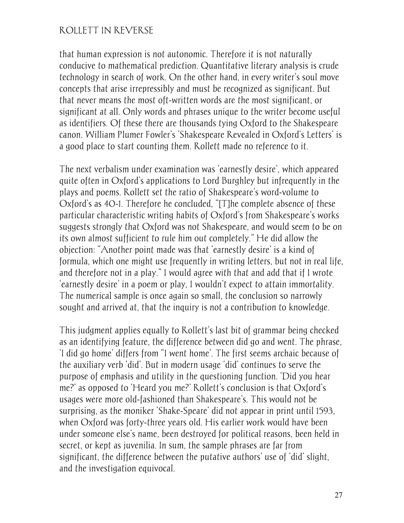that human expression is not autonomic. Therefore it is not naturally conducive to mathematical prediction. Quantitative literary analysis is crude technology in search of work. On the other hand, in every writer's soul move concepts that arise irrepressibly and must be recognized as significant. But that never means the most oft-written words are the most significant, or significant at all. Only words and phrases unique to the writer become useful as identifiers. Of these there are thousands tying Oxford to the Shakespeare canon. William Plumer Fowler's 'Shakespeare Revealed in Oxford's Letters' is a good place to start counting them. Rollett made no reference to it.

The next verbalism under examination was 'earnestly desire', which appeared quite often in Oxford's applications to Lord Burghley but infrequently in the plays and poems. Rollett set the ratio of Shakespeare's word-volume to Oxford's as 40-1. Therefore he concluded, "[T]he complete absence of these particular characteristic writing habits of Oxford's from Shakespeare's works suggests strongly that Oxford was not Shakespeare, and would seem to be on its own almost sufficient to rule him out completely." He did allow the objection: "Another point made was that 'earnestly desire' is a kind of formula, which one might use frequently in writing letters, but not in real life, and therefore not in a play." I would agree with that and add that if I wrote 'earnestly desire' in a poem or play, I wouldn't expect to attain immortality. The numerical sample is once again so small, the conclusion so narrowly sought and arrived at, that the inquiry is not a contribution to knowledge.

This judgment applies equally to Rollett's last bit of grammar being checked as an identifying feature, the difference between did go and went. The phrase, 'I did go home' differs from "I went home'. The first seems archaic because of the auxiliary verb 'did'. But in modern usage 'did' continues to serve the purpose of emphasis and utility in the questioning function. 'Did you hear me?' as opposed to 'Heard you me?' Rollett's conclusion is that Oxford's usages were more old-fashioned than Shakespeare's. This would not be surprising, as the moniker 'Shake-Speare' did not appear in print until 1593, when Oxford was forty-three years old. His earlier work would have been under someone else's name, been destroyed for political reasons, been held in secret, or kept as juvenilia. In sum, the sample phrases are far from significant, the difference between the putative authors' use of 'did' slight, and the investigation equivocal.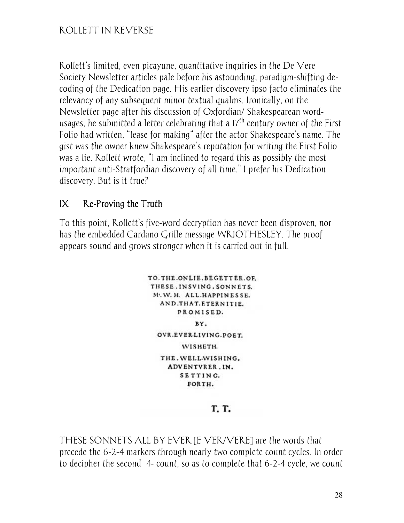Rollett's limited, even picayune, quantitative inquiries in the De Vere Society Newsletter articles pale before his astounding, paradigm-shifting decoding of the Dedication page. His earlier discovery ipso facto eliminates the relevancy of any subsequent minor textual qualms. Ironically, on the Newsletter page after his discussion of Oxfordian/ Shakespearean wordusages, he submitted a letter celebrating that a  $17<sup>th</sup>$  century owner of the First Folio had written, "lease for making" after the actor Shakespeare's name. The gist was the owner knew Shakespeare's reputation for writing the First Folio was a lie. Rollett wrote, "I am inclined to regard this as possibly the most important anti-Stratfordian discovery of all time." I prefer his Dedication discovery. But is it true?

#### $IX$  Re-Proving the Truth

To this point, Rollett's five-word decryption has never been disproven, nor has the embedded Cardano Grille message WRIOTHESLEY. The proof appears sound and grows stronger when it is carried out in full.

> TO. THE ONLIE. BEGETTER.OF. THESE. INSVING. SONNETS. M. W. H. ALL HAPPINESSE. AND.THAT.ETERNITIE. PROMISED. BY. OVR.EVER.LIVING.POET. WISHETH. THE. WELL-WISHING. ADVENTVRER.IN. SETTING. FORTH.

> > T. T.

THESE SONNETS ALL BY EVER [E VER/VERE] are the words that precede the 6-2-4 markers through nearly two complete count cycles. In order to decipher the second 4- count, so as to complete that 6-2-4 cycle, we count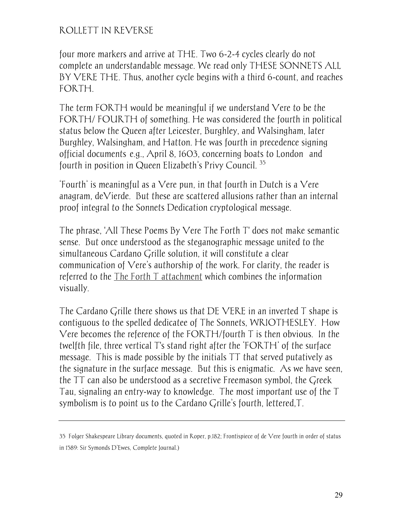four more markers and arrive at THE. Two 6-2-4 cycles clearly do not complete an understandable message. We read only THESE SONNETS ALL BY VERE THE. Thus, another cycle begins with a third 6-count, and reaches FORTH.

The term FORTH would be meaningful if we understand Vere to be the FORTH/ FOURTH of something. He was considered the fourth in political status below the Queen after Leicester, Burghley, and Walsingham, later Burghley, Walsingham, and Hatton. He was fourth in precedence signing official documents—e.g., April 8, 1603, concerning boats to London— and fourth in position in Queen Elizabeth's Privy Council. <sup>35</sup>

'Fourth' is meaningful as a Vere pun, in that fourth in Dutch is a Vere anagram, deVierde. But these are scattered allusions rather than an internal proof integral to the Sonnets Dedication cryptological message.

The phrase, 'All These Poems By Vere The Forth T' does not make semantic sense. But once understood as the steganographic message united to the simultaneous Cardano Grille solution, it will constitute a clear communication of Vere's authorship of the work. For clarity, the reader is referred to the The Forth T attachment which combines the information visually.

The Cardano Grille there shows us that DE VERE in an inverted T shape is contiguous to the spelled dedicatee of The Sonnets, WRIOTHESLEY. How Vere becomes the reference of the FORTH/fourth T is then obvious. In the twelfth file, three vertical T's stand right after the 'FORTH' of the surface message. This is made possible by the initials TT that served putatively as the signature in the surface message. But this is enigmatic. As we have seen, the TT can also be understood as a secretive Freemason symbol, the Greek Tau, signaling an entry-way to knowledge. The most important use of the T symbolism is to point us to the Cardano Grille's fourth, lettered,T.

<sup>35</sup> Folger Shakespeare Library documents, quoted in Roper, p.182; Frontispiece of de Vere fourth in order of status in 1589: Sir Symonds D'Ewes, Complete Journal.)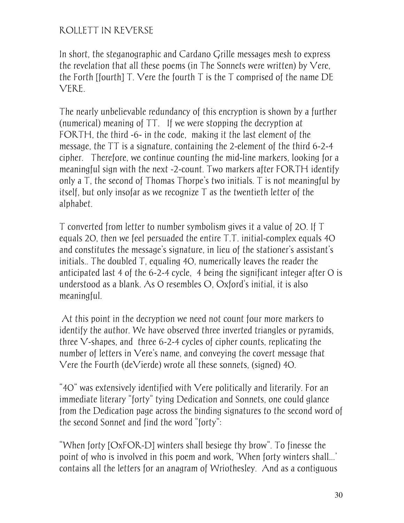In short, the steganographic and Cardano Grille messages mesh to express the revelation that all these poems (in The Sonnets were written) by Vere, the Forth [fourth]  $T$ . Vere the fourth  $T$  is the  $T$  comprised of the name  $DE$ VERE.

The nearly unbelievable redundancy of this encryption is shown by a further (numerical) meaning of TT. If we were stopping the decryption at FORTH, the third -6- in the code, making it the last element of the message, the TT is a signature, containing the 2-element of the third 6-2-4 cipher. Therefore, we continue counting the mid-line markers, looking for a meaningful sign with the next -2-count. Two markers after FORTH identify only a T, the second of Thomas Thorpe's two initials. T is not meaningful by itself, but only insofar as we recognize T as the twentieth letter of the alphabet.

T converted from letter to number symbolism gives it a value of 20. If T equals 20, then we feel persuaded the entire T.T. initial-complex equals 40 and constitutes the message's signature, in lieu of the stationer's assistant's initials.. The doubled T, equaling 40, numerically leaves the reader the anticipated last 4 of the 6-2-4 cycle, 4 being the significant integer after 0 is understood as a blank. As 0 resembles O, Oxford's initial, it is also meaningful.

 At this point in the decryption we need not count four more markers to identify the author. We have observed three inverted triangles or pyramids, three V-shapes, and three 6-2-4 cycles of cipher counts, replicating the number of letters in Vere's name, and conveying the covert message that Vere the Fourth (deVierde) wrote all these sonnets, (signed) 40.

"40" was extensively identified with Vere politically and literarily. For an immediate literary "forty" tying Dedication and Sonnets, one could glance from the Dedication page across the binding signatures to the second word of the second Sonnet and find the word "forty":

"When forty [OxFOR-D] winters shall besiege thy brow". To finesse the point of who is involved in this poem and work, 'When forty winters shall...' contains all the letters for an anagram of Wriothesley. And as a contiguous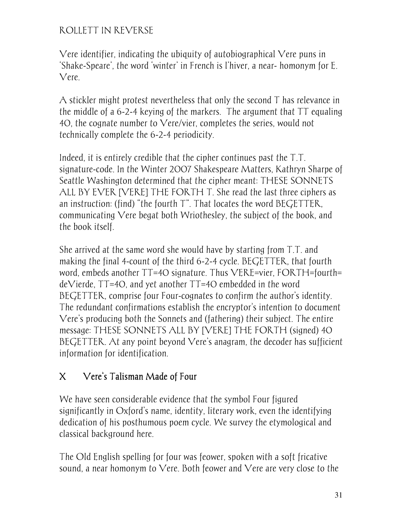Vere identifier, indicating the ubiquity of autobiographical Vere puns in 'Shake-Speare', the word 'winter' in French is l'hiver, a near- homonym for E. Vere.

A stickler might protest nevertheless that only the second T has relevance in the middle of a 6-2-4 keying of the markers. The argument that TT equaling 40, the cognate number to Vere/vier, completes the series, would not technically complete the 6-2-4 periodicity.

Indeed, it is entirely credible that the cipher continues past the T.T. signature-code. In the Winter 2007 Shakespeare Matters, Kathryn Sharpe of Seattle Washington determined that the cipher meant: THESE SONNETS ALL BY EVER [VERE] THE FORTH T. She read the last three ciphers as an instruction: (find) "the fourth T". That locates the word BEGETTER, communicating Vere begat both Wriothesley, the subject of the book, and the book itself.

She arrived at the same word she would have by starting from T.T. and making the final 4-count of the third 6-2-4 cycle. BEGETTER, that fourth word, embeds another TT=40 signature. Thus VERE=vier, FORTH=fourth= deVierde, TT=40, and yet another TT=40 embedded in the word BEGETTER, comprise four Four-cognates to confirm the author's identity. The redundant confirmations establish the encryptor's intention to document Vere's producing both the Sonnets and (fathering) their subject. The entire message: THESE SONNETS ALL BY [VERE] THE FORTH (signed) 40 BEGETTER. At any point beyond Vere's anagram, the decoder has sufficient information for identification.

# X Vere's Talisman Made of Four

We have seen considerable evidence that the symbol Four figured significantly in Oxford's name, identity, literary work, even the identifying dedication of his posthumous poem cycle. We survey the etymological and classical background here.

The Old English spelling for four was feower, spoken with a soft fricative sound, a near homonym to Vere. Both feower and Vere are very close to the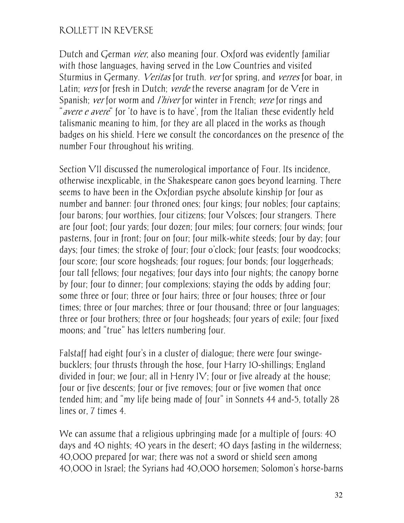Dutch and German *vier*, also meaning four. Oxford was evidently familiar with those languages, having served in the Low Countries and visited Sturmius in Germany. *Veritas* for truth. *ver* for spring, and *verres* for boar, in Latin; vers for fresh in Dutch; verde the reverse anagram for de Vere in Spanish; ver for worm and *l'hiver* for winter in French; vere for rings and "*avere e avere*" for 'to have is to have', from the Italian these evidently held talismanic meaning to him, for they are all placed in the works as though badges on his shield. Here we consult the concordances on the presence of the number Four throughout his writing.

Section VII discussed the numerological importance of Four. Its incidence, otherwise inexplicable, in the Shakespeare canon goes beyond learning. There seems to have been in the Oxfordian psyche absolute kinship for four as number and banner: four throned ones; four kings; four nobles; four captains; four barons; four worthies, four citizens; four Volsces; four strangers. There are four foot; four yards; four dozen; four miles; four corners; four winds; four pasterns, four in front; four on four; four milk-white steeds; four by day; four days; four times; the stroke of four; four o'clock; four feasts; four woodcocks; four score; four score hogsheads; four rogues; four bonds; four loggerheads; four tall fellows; four negatives; four days into four nights; the canopy borne by four; four to dinner; four complexions; staying the odds by adding four; some three or four; three or four hairs; three or four houses; three or four times; three or four marches; three or four thousand; three or four languages; three or four brothers; three or four hogsheads; four years of exile; four fixed moons; and "true" has letters numbering four.

Falstaff had eight four's in a cluster of dialogue; there were four swingebucklers; four thrusts through the hose, four Harry 10-shillings; England divided in four; we four; all in Henry IV; four or five already at the house; four or five descents; four or five removes; four or five women that once tended him; and "my life being made of four" in Sonnets 44 and-5, totally 28 lines or, 7 times 4.

We can assume that a religious upbringing made for a multiple of fours: 40 days and 40 nights; 40 years in the desert; 40 days fasting in the wilderness; 40,000 prepared for war; there was not a sword or shield seen among 40,000 in Israel; the Syrians had 40,000 horsemen; Solomon's horse-barns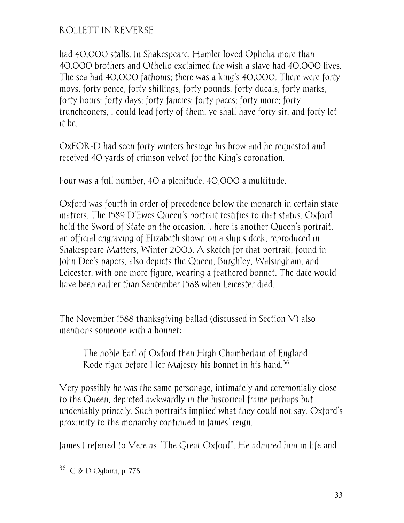had 40,000 stalls. In Shakespeare, Hamlet loved Ophelia more than 40.000 brothers and Othello exclaimed the wish a slave had 40,000 lives. The sea had 40,000 fathoms; there was a king's 40,000. There were forty moys; forty pence, forty shillings; forty pounds; forty ducals; forty marks; forty hours; forty days; forty fancies; forty paces; forty more; forty truncheoners; I could lead forty of them; ye shall have forty sir; and forty let it be.

OxFOR-D had seen forty winters besiege his brow and he requested and received 40 yards of crimson velvet for the King's coronation.

Four was a full number, 40 a plenitude, 40,000 a multitude.

Oxford was fourth in order of precedence below the monarch in certain state matters. The 1589 D'Ewes Queen's portrait testifies to that status. Oxford held the Sword of State on the occasion. There is another Queen's portrait, an official engraving of Elizabeth shown on a ship's deck, reproduced in Shakespeare Matters, Winter 2003. A sketch for that portrait, found in John Dee's papers, also depicts the Queen, Burghley, Walsingham, and Leicester, with one more figure, wearing a feathered bonnet. The date would have been earlier than September 1588 when Leicester died.

The November 1588 thanksgiving ballad (discussed in Section V) also mentions someone with a bonnet:

The noble Earl of Oxford then High Chamberlain of England Rode right before Her Majesty his bonnet in his hand.<sup>36</sup>

Very possibly he was the same personage, intimately and ceremonially close to the Queen, depicted awkwardly in the historical frame perhaps but undeniably princely. Such portraits implied what they could not say. Oxford's proximity to the monarchy continued in James' reign.

James I referred to Vere as "The Great Oxford". He admired him in life and

<sup>36</sup> C & D Ogburn, p. 778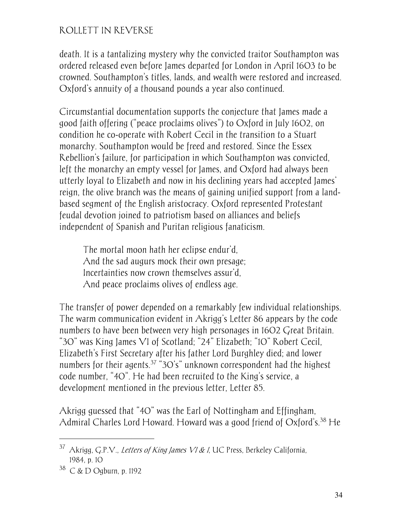death. It is a tantalizing mystery why the convicted traitor Southampton was ordered released even before James departed for London in April 1603 to be crowned. Southampton's titles, lands, and wealth were restored and increased. Oxford's annuity of a thousand pounds a year also continued.

Circumstantial documentation supports the conjecture that James made a good faith offering ("peace proclaims olives") to Oxford in July 1602, on condition he co-operate with Robert Cecil in the transition to a Stuart monarchy. Southampton would be freed and restored. Since the Essex Rebellion's failure, for participation in which Southampton was convicted, left the monarchy an empty vessel for James, and Oxford had always been utterly loyal to Elizabeth and now in his declining years had accepted James' reign, the olive branch was the means of gaining unified support from a landbased segment of the English aristocracy. Oxford represented Protestant feudal devotion joined to patriotism based on alliances and beliefs independent of Spanish and Puritan religious fanaticism.

The mortal moon hath her eclipse endur'd, And the sad augurs mock their own presage; Incertainties now crown themselves assur'd, And peace proclaims olives of endless age.

The transfer of power depended on a remarkably few individual relationships. The warm communication evident in Akrigg's Letter 86 appears by the code numbers to have been between very high personages in 1602 Great Britain. "30" was King James VI of Scotland; "24" Elizabeth; "10" Robert Cecil, Elizabeth's First Secretary after his father Lord Burghley died; and lower numbers for their agents.<sup>37</sup> "30's" unknown correspondent had the highest code number, "40". He had been recruited to the King's service, a development mentioned in the previous letter, Letter 85.

Akrigg guessed that "40" was the Earl of Nottingham and Effingham, Admiral Charles Lord Howard. Howard was a good friend of Oxford's.<sup>38</sup> He

-

<sup>&</sup>lt;sup>37</sup> Akrigg, G.P.V., *Letters of King James VI & I*, UC Press, Berkeley California, 1984, p. 10

<sup>38</sup> C & D Ogburn, p. 1192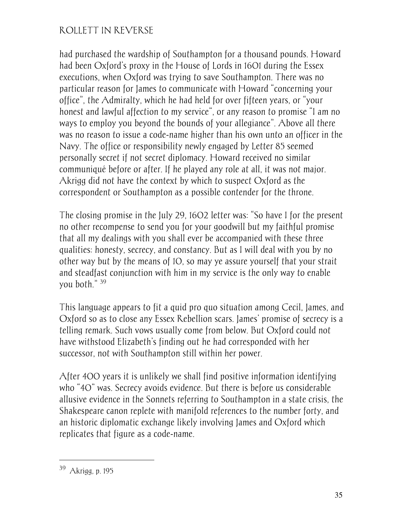had purchased the wardship of Southampton for a thousand pounds. Howard had been Oxford's proxy in the House of Lords in 1601 during the Essex executions, when Oxford was trying to save Southampton. There was no particular reason for James to communicate with Howard "concerning your office", the Admiralty, which he had held for over fifteen years, or "your honest and lawful affection to my service", or any reason to promise "I am no ways to employ you beyond the bounds of your allegiance". Above all there was no reason to issue a code-name higher than his own unto an officer in the Navy. The office or responsibility newly engaged by Letter 85 seemed personally secret if not secret diplomacy. Howard received no similar communiqué before or after. If he played any role at all, it was not major. Akrigg did not have the context by which to suspect Oxford as the correspondent or Southampton as a possible contender for the throne.

The closing promise in the July 29, 1602 letter was: "So have I for the present no other recompense to send you for your goodwill but my faithful promise that all my dealings with you shall ever be accompanied with these three qualities: honesty, secrecy, and constancy. But as I will deal with you by no other way but by the means of 10, so may ye assure yourself that your strait and steadfast conjunction with him in my service is the only way to enable you both." <sup>39</sup>

This language appears to fit a quid pro quo situation among Cecil, James, and Oxford so as to close any Essex Rebellion scars. James' promise of secrecy is a telling remark. Such vows usually come from below. But Oxford could not have withstood Elizabeth's finding out he had corresponded with her successor, not with Southampton still within her power.

After 400 years it is unlikely we shall find positive information identifying who "40" was. Secrecy avoids evidence. But there is before us considerable allusive evidence in the Sonnets referring to Southampton in a state crisis, the Shakespeare canon replete with manifold references to the number forty, and an historic diplomatic exchange likely involving James and Oxford which replicates that figure as a code-name.

<sup>39</sup> Akrigg, p. 195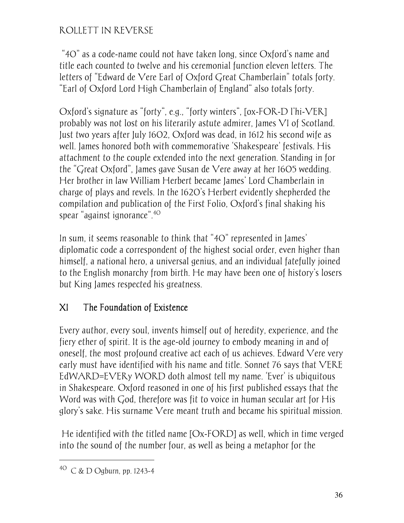"40" as a code-name could not have taken long, since Oxford's name and title each counted to twelve and his ceremonial function eleven letters. The letters of "Edward de Vere Earl of Oxford Great Chamberlain" totals forty. "Earl of Oxford Lord High Chamberlain of England" also totals forty.

Oxford's signature as "forty", e.g., "forty winters", [ox-FOR-D l'hi-VER] probably was not lost on his literarily astute admirer, James VI of Scotland. Just two years after July 1602, Oxford was dead, in 1612 his second wife as well. James honored both with commemorative 'Shakespeare' festivals. His attachment to the couple extended into the next generation. Standing in for the "Great Oxford", James gave Susan de Vere away at her 1605 wedding. Her brother in law William Herbert became James' Lord Chamberlain in charge of plays and revels. In the 1620's Herbert evidently shepherded the compilation and publication of the First Folio, Oxford's final shaking his spear "against ignorance".40

In sum, it seems reasonable to think that "40" represented in James' diplomatic code a correspondent of the highest social order, even higher than himself, a national hero, a universal genius, and an individual fatefully joined to the English monarchy from birth. He may have been one of history's losers but King James respected his greatness.

# XI The Foundation of Existence

Every author, every soul, invents himself out of heredity, experience, and the fiery ether of spirit. It is the age-old journey to embody meaning in and of oneself, the most profound creative act each of us achieves. Edward Vere very early must have identified with his name and title. Sonnet 76 says that VERE EdWARD=EVERy WORD doth almost tell my name. 'Ever' is ubiquitous in Shakespeare. Oxford reasoned in one of his first published essays that the Word was with God, therefore was fit to voice in human secular art for His glory's sake. His surname Vere meant truth and became his spiritual mission.

 He identified with the titled name [Ox-FORD] as well, which in time verged into the sound of the number four, as well as being a metaphor for the

 $^{40}$  C & D Ogburn, pp. 1243-4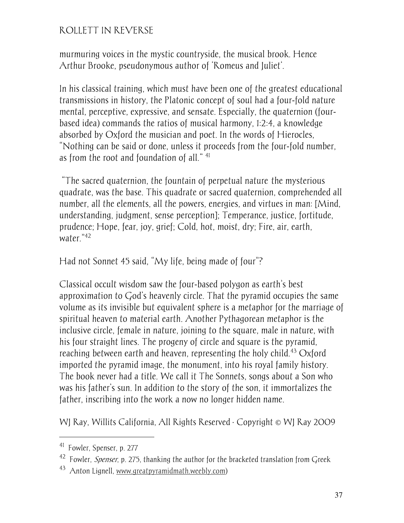murmuring voices in the mystic countryside, the musical brook. Hence Arthur Brooke, pseudonymous author of 'Romeus and Juliet'.

In his classical training, which must have been one of the greatest educational transmissions in history, the Platonic concept of soul had a four-fold nature mental, perceptive, expressive, and sensate. Especially, the quaternion (fourbased idea) commands the ratios of musical harmony, 1:2:4, a knowledge absorbed by Oxford the musician and poet. In the words of Hierocles, "Nothing can be said or done, unless it proceeds from the four-fold number, as from the root and foundation of all." <sup>41</sup>

 "The sacred quaternion, the fountain of perpetual nature…the mysterious quadrate, was the base. This quadrate or sacred quaternion, comprehended all number, all the elements, all the powers, energies, and virtues in man: [Mind, understanding, judgment, sense perception]; Temperance, justice, fortitude, prudence; Hope, fear, joy, grief; Cold, hot, moist, dry; Fire, air, earth, water."<sup>42</sup>

Had not Sonnet 45 said, "My life, being made of four"?

Classical occult wisdom saw the four-based polygon as earth's best approximation to God's heavenly circle. That the pyramid occupies the same volume as its invisible but equivalent sphere is a metaphor for the marriage of spiritual heaven to material earth. Another Pythagorean metaphor is the inclusive circle, female in nature, joining to the square, male in nature, with his four straight lines. The progeny of circle and square is the pyramid, reaching between earth and heaven, representing the holy child.<sup>43</sup> Oxford imported the pyramid image, the monument, into his royal family history. The book never had a title. We call it The Sonnets, songs about a Son who was his father's sun. In addition to the story of the son, it immortalizes the father, inscribing into the work a now no longer hidden name.

WJ Ray, Willits California, All Rights Reserved · Copyright © WJ Ray 2009

-

<sup>41</sup> Fowler, Spenser, p. 277

 $42$  Fowler, *Spenser*, p. 275, thanking the author for the bracketed translation from Greek

 $^{43}$  Anton Lignell, www.greatpyramidmath.weebly.com)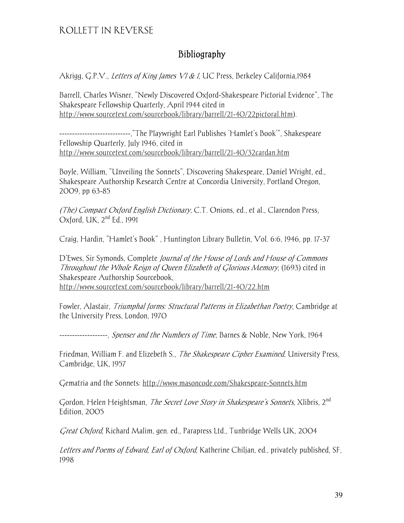#### Bibliography

Akrigg, G.P.V., Letters of King James VI & I, UC Press, Berkeley California, 1984

Barrell, Charles Wisner, "Newly Discovered Oxford-Shakespeare Pictorial Evidence", The Shakespeare Fellowship Quarterly, April 1944 cited in http://www.sourcetext.com/sourcebook/library/barrell/21-40/22pictoral.htm).

----------------------------,"The Playwright Earl Publishes 'Hamlet's Book'", Shakespeare Fellowship Quarterly, July 1946, cited in http://www.sourcetext.com/sourcebook/library/barrell/21-40/32cardan.htm

Boyle, William, "Unveiling the Sonnets", Discovering Shakespeare, Daniel Wright, ed., Shakespeare Authorship Research Centre at Concordia University, Portland Oregon, 2009, pp 63-85

(The) Compact Oxford English Dictionary, C.T. Onions, ed., et al., Clarendon Press, Oxford, UK, 2nd Ed., 1991

Craig, Hardin, "Hamlet's Book" , Huntington Library Bulletin, Vol. 6:6, 1946, pp. 17-37

D'Ewes, Sir Symonds, Complete *Journal of the House of Lords and House of Commons* Throughout the Whole Reign of Queen Elizabeth of Glorious Memory, (1693) cited in Shakespeare Authorship Sourcebook, http://www.sourcetext.com/sourcebook/library/barrell/21-40/22.htm

Fowler, Alastair, Triumphal forms: Structural Patterns in Elizabethan Poetry, Cambridge at the University Press, London, 1970

-------------------, *Spenser and the Numbers of Time*, Barnes & Noble, New York, 1964

Friedman, William F. and Elizebeth S., *The Shakespeare Cipher Examined*, University Press, Cambridge, UK, 1957

Gematria and the Sonnets: http://www.masoncode.com/Shakespeare-Sonnets.htm

Gordon, Helen Heightsman, *The Secret Love Story in Shakespeare's Sonnets*, Xlibris, 2<sup>nd</sup> Edition, 2005

Great Oxford, Richard Malim, gen. ed., Parapress Ltd., Tunbridge Wells UK, 2004

Letters and Poems of Edward, Earl of Oxford, Katherine Chiljan, ed., privately published, SF, 1998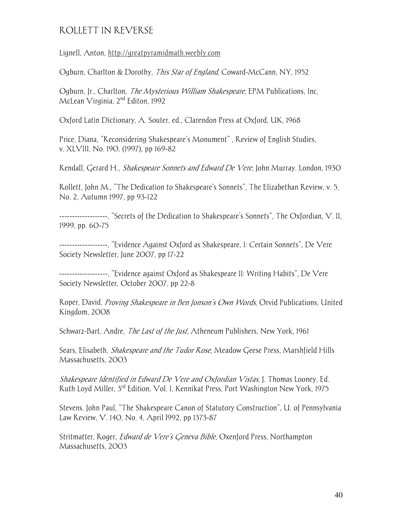Lignell, Anton, http://greatpyramidmath.weebly.com

Ogburn, Charlton & Dorothy, *This Star of England*, Coward-McCann, NY, 1952

Ogburn, Jr., Charlton, *The Mysterious William Shakespeare*, EPM Publications, Inc, McLean Virginia, 2<sup>nd</sup> Editon, 1992

Oxford Latin Dictionary, A. Souter, ed., Clarendon Press at Oxford, UK, 1968

Price, Diana, "Reconsidering Shakespeare's Monument" , Review of English Studies, v. XLVIII, No. 190, (1997), pp 169-82

Rendall, Gerard H., Shakespeare Sonnets and Edward De Vere, John Murray. London, 1930

Rollett, John M., "The Dedication to Shakespeare's Sonnets", The Elizabethan Review, v. 5, No. 2, Autumn 1997, pp 93-122

-------------------, "Secrets of the Dedication to Shakespeare's Sonnets", The Oxfordian, V. II, 1999, pp. 60-75

-------------------, "Evidence Against Oxford as Shakespeare, I: Certain Sonnets", De Vere Society Newsletter, June 2007, pp 17-22

-------------------, "Evidence against Oxford as Shakespeare II: Writing Habits", De Vere Society Newsletter, October 2007, pp 22-8

Roper, David, *Proving Shakespeare in Ben Jonson's Own Words*, Orvid Publications, United Kingdom, 2008

Schwarz-Bart, Andre, *The Last of the Just*, Atheneum Publishers, New York, 1961

Sears, Elisabeth, *Shakespeare and the Tudor Rose*, Meadow Geese Press, Marshfield Hills Massachusetts, 2003

Shakespeare Identified in Edward De Vere and Oxfordian Vistas, J. Thomas Looney, Ed. Ruth Loyd Miller, 3rd Edition, Vol. I, Kennikat Press, Port Washington New York, 1975

Stevens. John Paul, "The Shakespeare Canon of Statutory Construction", U. of Pennsylvania Law Review, V. 140, No. 4, April l992, pp 1373-87

Stritmatter, Roger, *Edward de Vere's Geneva Bible*, Oxenford Press, Northampton Massachusetts, 2003